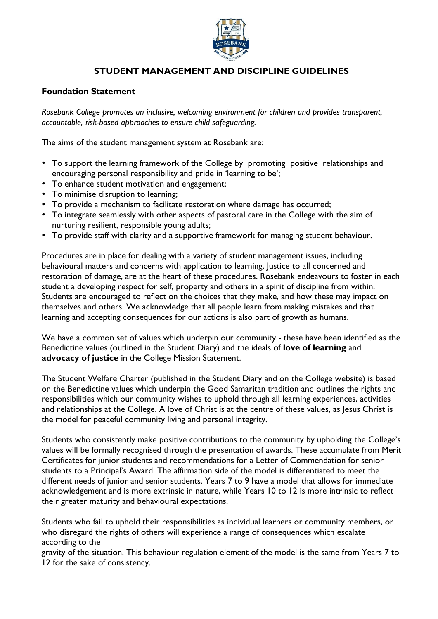

# STUDENT MANAGEMENT AND DISCIPLINE GUIDELINES

#### Foundation Statement

Rosebank College promotes an inclusive, welcoming environment for children and provides transparent, accountable, risk-based approaches to ensure child safeguarding.

The aims of the student management system at Rosebank are:

- To support the learning framework of the College by promoting positive relationships and encouraging personal responsibility and pride in 'learning to be';
- To enhance student motivation and engagement;
- To minimise disruption to learning;
- To provide a mechanism to facilitate restoration where damage has occurred;
- To integrate seamlessly with other aspects of pastoral care in the College with the aim of nurturing resilient, responsible young adults;
- To provide staff with clarity and a supportive framework for managing student behaviour.

Procedures are in place for dealing with a variety of student management issues, including behavioural matters and concerns with application to learning. Justice to all concerned and restoration of damage, are at the heart of these procedures. Rosebank endeavours to foster in each student a developing respect for self, property and others in a spirit of discipline from within. Students are encouraged to reflect on the choices that they make, and how these may impact on themselves and others. We acknowledge that all people learn from making mistakes and that learning and accepting consequences for our actions is also part of growth as humans.

We have a common set of values which underpin our community - these have been identified as the Benedictine values (outlined in the Student Diary) and the ideals of **love of learning** and advocacy of justice in the College Mission Statement.

The Student Welfare Charter (published in the Student Diary and on the College website) is based on the Benedictine values which underpin the Good Samaritan tradition and outlines the rights and responsibilities which our community wishes to uphold through all learning experiences, activities and relationships at the College. A love of Christ is at the centre of these values, as Jesus Christ is the model for peaceful community living and personal integrity.

Students who consistently make positive contributions to the community by upholding the College's values will be formally recognised through the presentation of awards. These accumulate from Merit Certificates for junior students and recommendations for a Letter of Commendation for senior students to a Principal's Award. The affirmation side of the model is differentiated to meet the different needs of junior and senior students. Years 7 to 9 have a model that allows for immediate acknowledgement and is more extrinsic in nature, while Years 10 to 12 is more intrinsic to reflect their greater maturity and behavioural expectations.

Students who fail to uphold their responsibilities as individual learners or community members, or who disregard the rights of others will experience a range of consequences which escalate according to the

gravity of the situation. This behaviour regulation element of the model is the same from Years 7 to 12 for the sake of consistency.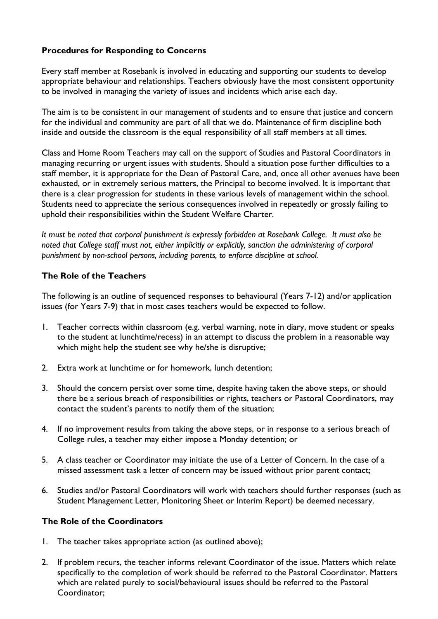### Procedures for Responding to Concerns

Every staff member at Rosebank is involved in educating and supporting our students to develop appropriate behaviour and relationships. Teachers obviously have the most consistent opportunity to be involved in managing the variety of issues and incidents which arise each day.

The aim is to be consistent in our management of students and to ensure that justice and concern for the individual and community are part of all that we do. Maintenance of firm discipline both inside and outside the classroom is the equal responsibility of all staff members at all times.

Class and Home Room Teachers may call on the support of Studies and Pastoral Coordinators in managing recurring or urgent issues with students. Should a situation pose further difficulties to a staff member, it is appropriate for the Dean of Pastoral Care, and, once all other avenues have been exhausted, or in extremely serious matters, the Principal to become involved. It is important that there is a clear progression for students in these various levels of management within the school. Students need to appreciate the serious consequences involved in repeatedly or grossly failing to uphold their responsibilities within the Student Welfare Charter.

It must be noted that corporal punishment is expressly forbidden at Rosebank College. It must also be noted that College staff must not, either implicitly or explicitly, sanction the administering of corporal punishment by non-school persons, including parents, to enforce discipline at school.

#### The Role of the Teachers

The following is an outline of sequenced responses to behavioural (Years 7-12) and/or application issues (for Years 7-9) that in most cases teachers would be expected to follow.

- 1. Teacher corrects within classroom (e.g. verbal warning, note in diary, move student or speaks to the student at lunchtime/recess) in an attempt to discuss the problem in a reasonable way which might help the student see why he/she is disruptive;
- 2. Extra work at lunchtime or for homework, lunch detention;
- 3. Should the concern persist over some time, despite having taken the above steps, or should there be a serious breach of responsibilities or rights, teachers or Pastoral Coordinators, may contact the student's parents to notify them of the situation;
- 4. If no improvement results from taking the above steps, or in response to a serious breach of College rules, a teacher may either impose a Monday detention; or
- 5. A class teacher or Coordinator may initiate the use of a Letter of Concern. In the case of a missed assessment task a letter of concern may be issued without prior parent contact;
- 6. Studies and/or Pastoral Coordinators will work with teachers should further responses (such as Student Management Letter, Monitoring Sheet or Interim Report) be deemed necessary.

#### The Role of the Coordinators

- 1. The teacher takes appropriate action (as outlined above);
- 2. If problem recurs, the teacher informs relevant Coordinator of the issue. Matters which relate specifically to the completion of work should be referred to the Pastoral Coordinator. Matters which are related purely to social/behavioural issues should be referred to the Pastoral Coordinator;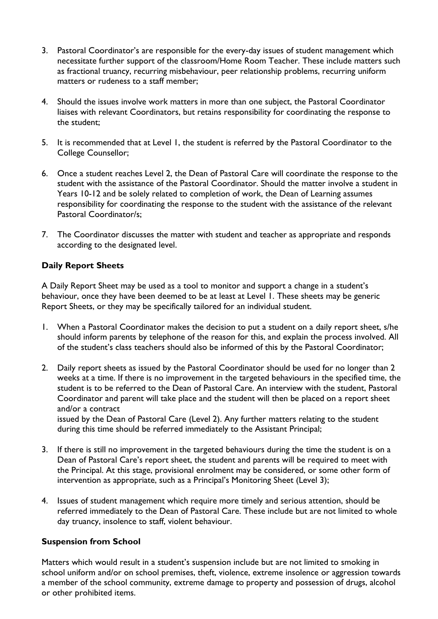- 3. Pastoral Coordinator's are responsible for the every-day issues of student management which necessitate further support of the classroom/Home Room Teacher. These include matters such as fractional truancy, recurring misbehaviour, peer relationship problems, recurring uniform matters or rudeness to a staff member;
- 4. Should the issues involve work matters in more than one subject, the Pastoral Coordinator liaises with relevant Coordinators, but retains responsibility for coordinating the response to the student;
- 5. It is recommended that at Level 1, the student is referred by the Pastoral Coordinator to the College Counsellor;
- 6. Once a student reaches Level 2, the Dean of Pastoral Care will coordinate the response to the student with the assistance of the Pastoral Coordinator. Should the matter involve a student in Years 10-12 and be solely related to completion of work, the Dean of Learning assumes responsibility for coordinating the response to the student with the assistance of the relevant Pastoral Coordinator/s;
- 7. The Coordinator discusses the matter with student and teacher as appropriate and responds according to the designated level.

#### Daily Report Sheets

A Daily Report Sheet may be used as a tool to monitor and support a change in a student's behaviour, once they have been deemed to be at least at Level 1. These sheets may be generic Report Sheets, or they may be specifically tailored for an individual student.

- 1. When a Pastoral Coordinator makes the decision to put a student on a daily report sheet, s/he should inform parents by telephone of the reason for this, and explain the process involved. All of the student's class teachers should also be informed of this by the Pastoral Coordinator;
- 2. Daily report sheets as issued by the Pastoral Coordinator should be used for no longer than 2 weeks at a time. If there is no improvement in the targeted behaviours in the specified time, the student is to be referred to the Dean of Pastoral Care. An interview with the student, Pastoral Coordinator and parent will take place and the student will then be placed on a report sheet and/or a contract issued by the Dean of Pastoral Care (Level 2). Any further matters relating to the student

during this time should be referred immediately to the Assistant Principal;

- 3. If there is still no improvement in the targeted behaviours during the time the student is on a Dean of Pastoral Care's report sheet, the student and parents will be required to meet with the Principal. At this stage, provisional enrolment may be considered, or some other form of intervention as appropriate, such as a Principal's Monitoring Sheet (Level 3);
- 4. Issues of student management which require more timely and serious attention, should be referred immediately to the Dean of Pastoral Care. These include but are not limited to whole day truancy, insolence to staff, violent behaviour.

#### Suspension from School

Matters which would result in a student's suspension include but are not limited to smoking in school uniform and/or on school premises, theft, violence, extreme insolence or aggression towards a member of the school community, extreme damage to property and possession of drugs, alcohol or other prohibited items.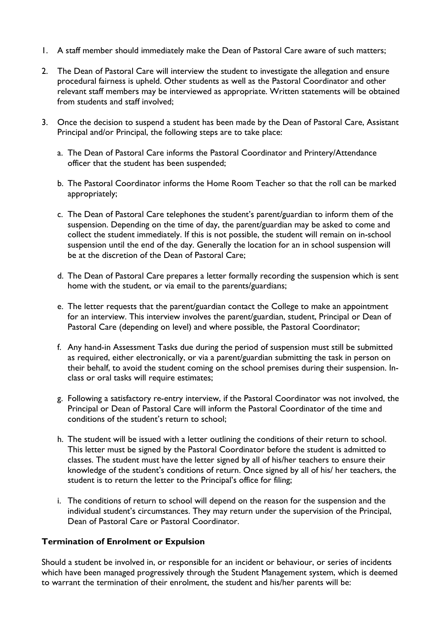- 1. A staff member should immediately make the Dean of Pastoral Care aware of such matters;
- 2. The Dean of Pastoral Care will interview the student to investigate the allegation and ensure procedural fairness is upheld. Other students as well as the Pastoral Coordinator and other relevant staff members may be interviewed as appropriate. Written statements will be obtained from students and staff involved;
- 3. Once the decision to suspend a student has been made by the Dean of Pastoral Care, Assistant Principal and/or Principal, the following steps are to take place:
	- a. The Dean of Pastoral Care informs the Pastoral Coordinator and Printery/Attendance officer that the student has been suspended;
	- b. The Pastoral Coordinator informs the Home Room Teacher so that the roll can be marked appropriately;
	- c. The Dean of Pastoral Care telephones the student's parent/guardian to inform them of the suspension. Depending on the time of day, the parent/guardian may be asked to come and collect the student immediately. If this is not possible, the student will remain on in-school suspension until the end of the day. Generally the location for an in school suspension will be at the discretion of the Dean of Pastoral Care;
	- d. The Dean of Pastoral Care prepares a letter formally recording the suspension which is sent home with the student, or via email to the parents/guardians;
	- e. The letter requests that the parent/guardian contact the College to make an appointment for an interview. This interview involves the parent/guardian, student, Principal or Dean of Pastoral Care (depending on level) and where possible, the Pastoral Coordinator;
	- f. Any hand-in Assessment Tasks due during the period of suspension must still be submitted as required, either electronically, or via a parent/guardian submitting the task in person on their behalf, to avoid the student coming on the school premises during their suspension. Inclass or oral tasks will require estimates;
	- g. Following a satisfactory re-entry interview, if the Pastoral Coordinator was not involved, the Principal or Dean of Pastoral Care will inform the Pastoral Coordinator of the time and conditions of the student's return to school;
	- h. The student will be issued with a letter outlining the conditions of their return to school. This letter must be signed by the Pastoral Coordinator before the student is admitted to classes. The student must have the letter signed by all of his/her teachers to ensure their knowledge of the student's conditions of return. Once signed by all of his/ her teachers, the student is to return the letter to the Principal's office for filing;
	- i. The conditions of return to school will depend on the reason for the suspension and the individual student's circumstances. They may return under the supervision of the Principal, Dean of Pastoral Care or Pastoral Coordinator.

#### Termination of Enrolment or Expulsion

Should a student be involved in, or responsible for an incident or behaviour, or series of incidents which have been managed progressively through the Student Management system, which is deemed to warrant the termination of their enrolment, the student and his/her parents will be: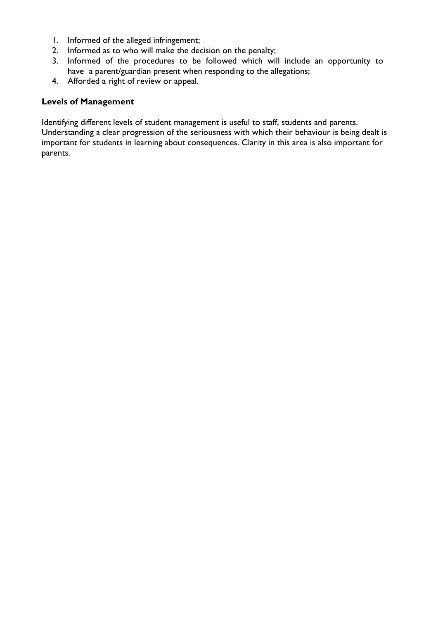- 1. Informed of the alleged infringement;
- 2. Informed as to who will make the decision on the penalty;
- 3. Informed of the procedures to be followed which will include an opportunity to have a parent/guardian present when responding to the allegations;
- 4. Afforded a right of review or appeal.

#### Levels of Management

Identifying different levels of student management is useful to staff, students and parents.

Understanding a clear progression of the seriousness with which their behaviour is being dealt is important for students in learning about consequences. Clarity in this area is also important for parents.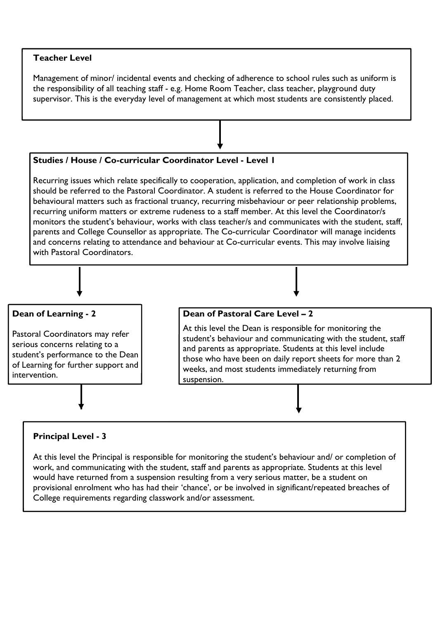#### Teacher Level

Management of minor/ incidental events and checking of adherence to school rules such as uniform is the responsibility of all teaching staff - e.g. Home Room Teacher, class teacher, playground duty supervisor. This is the everyday level of management at which most students are consistently placed.



would have returned from a suspension resulting from a very serious matter, be a student on provisional enrolment who has had their 'chance', or be involved in significant/repeated breaches of College requirements regarding classwork and/or assessment.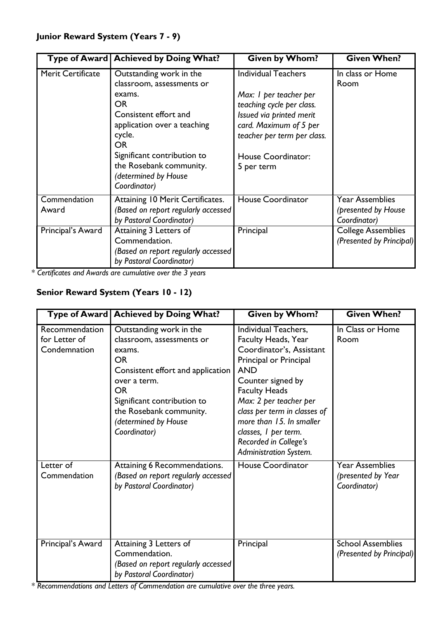|                       | Type of Award   Achieved by Doing What?                                                                                                                                                   | <b>Given by Whom?</b>                                                                                                                                                                        | <b>Given When?</b>                                            |
|-----------------------|-------------------------------------------------------------------------------------------------------------------------------------------------------------------------------------------|----------------------------------------------------------------------------------------------------------------------------------------------------------------------------------------------|---------------------------------------------------------------|
| Merit Certificate     | Outstanding work in the<br>classroom, assessments or<br>exams.<br><b>OR</b><br>Consistent effort and<br>application over a teaching<br>cycle.<br><b>OR</b><br>Significant contribution to | <b>Individual Teachers</b><br>Max: I per teacher per<br>teaching cycle per class.<br>Issued via printed merit<br>card. Maximum of 5 per<br>teacher per term per class.<br>House Coordinator: | In class or Home<br>Room                                      |
|                       | the Rosebank community.<br>(determined by House<br>Coordinator)                                                                                                                           | 5 per term                                                                                                                                                                                   |                                                               |
| Commendation<br>Award | Attaining 10 Merit Certificates.<br>(Based on report regularly accessed<br>by Pastoral Coordinator)                                                                                       | <b>House Coordinator</b>                                                                                                                                                                     | <b>Year Assemblies</b><br>(presented by House<br>Coordinator) |
| Principal's Award     | Attaining 3 Letters of<br>Commendation.<br>(Based on report regularly accessed<br>by Pastoral Coordinator)                                                                                | Principal                                                                                                                                                                                    | <b>College Assemblies</b><br>(Presented by Principal)         |

\* Certificates and Awards are cumulative over the 3 years

# Senior Reward System (Years 10 - 12)

|                                                 | Type of Award   Achieved by Doing What?                                                                                                                                                                                                         | <b>Given by Whom?</b>                                                                                                                                                                                                                                                                                                         | <b>Given When?</b>                                           |
|-------------------------------------------------|-------------------------------------------------------------------------------------------------------------------------------------------------------------------------------------------------------------------------------------------------|-------------------------------------------------------------------------------------------------------------------------------------------------------------------------------------------------------------------------------------------------------------------------------------------------------------------------------|--------------------------------------------------------------|
| Recommendation<br>for Letter of<br>Condemnation | Outstanding work in the<br>classroom, assessments or<br>exams.<br><b>OR</b><br>Consistent effort and application<br>over a term.<br><b>OR</b><br>Significant contribution to<br>the Rosebank community.<br>(determined by House<br>Coordinator) | Individual Teachers,<br>Faculty Heads, Year<br>Coordinator's, Assistant<br>Principal or Principal<br><b>AND</b><br>Counter signed by<br><b>Faculty Heads</b><br>Max: 2 per teacher per<br>class per term in classes of<br>more than 15. In smaller<br>classes, I per term.<br>Recorded in College's<br>Administration System. | In Class or Home<br>Room                                     |
| Letter of<br>Commendation                       | Attaining 6 Recommendations.<br>(Based on report regularly accessed<br>by Pastoral Coordinator)                                                                                                                                                 | <b>House Coordinator</b>                                                                                                                                                                                                                                                                                                      | <b>Year Assemblies</b><br>(presented by Year<br>Coordinator) |
| Principal's Award                               | Attaining 3 Letters of<br>Commendation.<br>(Based on report regularly accessed<br>by Pastoral Coordinator)                                                                                                                                      | Principal                                                                                                                                                                                                                                                                                                                     | <b>School Assemblies</b><br>(Presented by Principal)         |

\* Recommendations and Letters of Commendation are cumulative over the three years.